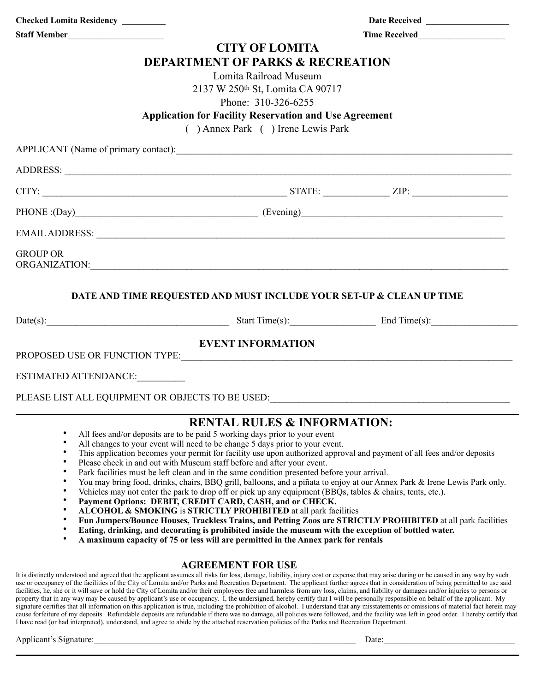| Checked Lomita Residency ________                                                                                                                                                                                             |                                                                                             |                                                                                                                           |  |
|-------------------------------------------------------------------------------------------------------------------------------------------------------------------------------------------------------------------------------|---------------------------------------------------------------------------------------------|---------------------------------------------------------------------------------------------------------------------------|--|
|                                                                                                                                                                                                                               |                                                                                             |                                                                                                                           |  |
|                                                                                                                                                                                                                               | <b>CITY OF LOMITA</b>                                                                       |                                                                                                                           |  |
|                                                                                                                                                                                                                               | <b>DEPARTMENT OF PARKS &amp; RECREATION</b>                                                 |                                                                                                                           |  |
|                                                                                                                                                                                                                               | Lomita Railroad Museum                                                                      |                                                                                                                           |  |
|                                                                                                                                                                                                                               | 2137 W 250th St, Lomita CA 90717                                                            |                                                                                                                           |  |
|                                                                                                                                                                                                                               | Phone: 310-326-6255                                                                         |                                                                                                                           |  |
|                                                                                                                                                                                                                               | <b>Application for Facility Reservation and Use Agreement</b>                               |                                                                                                                           |  |
|                                                                                                                                                                                                                               | () Annex Park () Irene Lewis Park                                                           |                                                                                                                           |  |
| APPLICANT (Name of primary contact):                                                                                                                                                                                          |                                                                                             |                                                                                                                           |  |
|                                                                                                                                                                                                                               |                                                                                             |                                                                                                                           |  |
| $CITY:$ $ZIP:$ $ZIP:$                                                                                                                                                                                                         |                                                                                             |                                                                                                                           |  |
|                                                                                                                                                                                                                               |                                                                                             |                                                                                                                           |  |
| EMAIL ADDRESS: New York Contract the Contract of the Contract of the Contract of the Contract of the Contract of the Contract of the Contract of the Contract of the Contract of the Contract of the Contract of the Contract |                                                                                             |                                                                                                                           |  |
| <b>GROUP OR</b>                                                                                                                                                                                                               |                                                                                             |                                                                                                                           |  |
| DATE AND TIME REQUESTED AND MUST INCLUDE YOUR SET-UP & CLEAN UP TIME                                                                                                                                                          |                                                                                             |                                                                                                                           |  |
| Date(s): End Time(s): End Time(s):                                                                                                                                                                                            |                                                                                             |                                                                                                                           |  |
|                                                                                                                                                                                                                               | <b>EVENT INFORMATION</b>                                                                    |                                                                                                                           |  |
|                                                                                                                                                                                                                               |                                                                                             |                                                                                                                           |  |
| <b>ESTIMATED ATTENDANCE:</b>                                                                                                                                                                                                  |                                                                                             |                                                                                                                           |  |
| PLEASE LIST ALL EQUIPMENT OR OBJECTS TO BE USED: USED:                                                                                                                                                                        |                                                                                             |                                                                                                                           |  |
|                                                                                                                                                                                                                               | <b>RENTAL RULES &amp; INFORMATION:</b>                                                      |                                                                                                                           |  |
| $\bullet$<br>$\bullet$                                                                                                                                                                                                        | All fees and/or deposits are to be paid 5 working days prior to your event                  |                                                                                                                           |  |
| $\bullet$                                                                                                                                                                                                                     | All changes to your event will need to be change 5 days prior to your event.                | This application becomes your permit for facility use upon authorized approval and payment of all fees and/or deposits    |  |
| Please check in and out with Museum staff before and after your event.<br>$\bullet$                                                                                                                                           |                                                                                             |                                                                                                                           |  |
| ٠<br>٠                                                                                                                                                                                                                        | Park facilities must be left clean and in the same condition presented before your arrival. | You may bring food, drinks, chairs, BBQ grill, balloons, and a piñata to enjoy at our Annex Park & Irene Lewis Park only. |  |

- Vehicles may not enter the park to drop off or pick up any equipment (BBQs, tables & chairs, tents, etc.).
- **Payment Options: DEBIT, CREDIT CARD, CASH, and or CHECK.**
- **ALCOHOL & SMOKING** is **STRICTLY PROHIBITED** at all park facilities
- **Fun Jumpers/Bounce Houses, Trackless Trains, and Petting Zoos are STRICTLY PROHIBITED** at all park facilities
- **Eating, drinking, and decorating is prohibited inside the museum with the exception of bottled water.**
- **A maximum capacity of 75 or less will are permitted in the Annex park for rentals**

## **AGREEMENT FOR USE**

It is distinctly understood and agreed that the applicant assumes all risks for loss, damage, liability, injury cost or expense that may arise during or be caused in any way by such use or occupancy of the facilities of the City of Lomita and/or Parks and Recreation Department. The applicant further agrees that in consideration of being permitted to use said facilities, he, she or it will save or hold the City of Lomita and/or their employees free and harmless from any loss, claims, and liability or damages and/or injuries to persons or property that in any way may be caused by applicant's use or occupancy. I, the undersigned, hereby certify that I will be personally responsible on behalf of the applicant. My signature certifies that all information on this application is true, including the prohibition of alcohol. I understand that any misstatements or omissions of material fact herein may cause forfeiture of my deposits. Refundable deposits are refundable if there was no damage, all policies were followed, and the facility was left in good order. I hereby certify that I have read (or had interpreted), understand, and agree to abide by the attached reservation policies of the Parks and Recreation Department.

## Applicant's Signature:\_\_\_\_\_\_\_\_\_\_\_\_\_\_\_\_\_\_\_\_\_\_\_\_\_\_\_\_\_\_\_\_\_\_\_\_\_\_\_\_\_\_\_\_\_\_\_\_\_\_\_\_\_\_\_\_\_\_\_\_ Date:\_\_\_\_\_\_\_\_\_\_\_\_\_\_\_\_\_\_\_\_\_\_\_\_\_\_\_\_\_\_